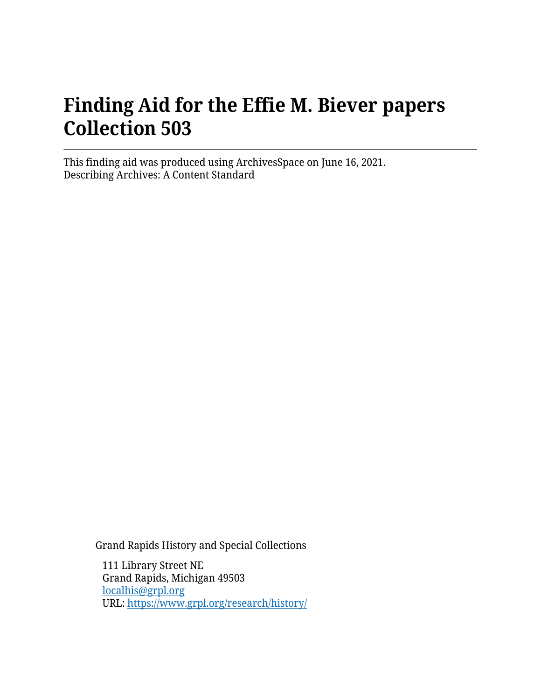# **Finding Aid for the Effie M. Biever papers Collection 503**

This finding aid was produced using ArchivesSpace on June 16, 2021. Describing Archives: A Content Standard

Grand Rapids History and Special Collections

111 Library Street NE Grand Rapids, Michigan 49503 [localhis@grpl.org](mailto:localhis@grpl.org) URL:<https://www.grpl.org/research/history/>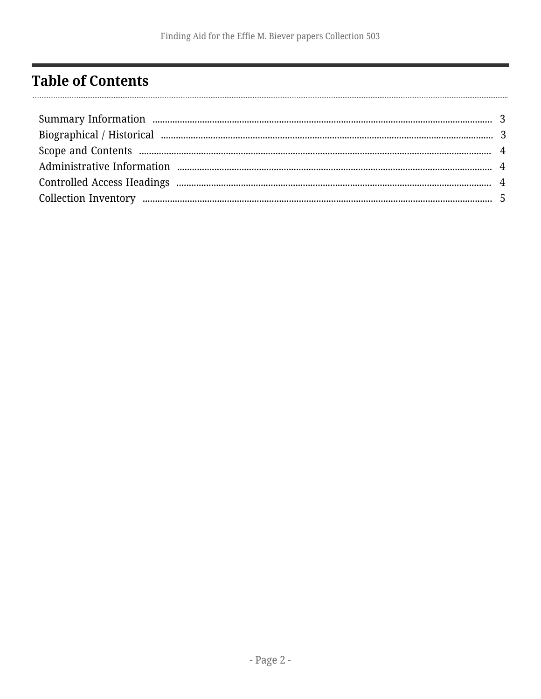## <span id="page-1-0"></span>**Table of Contents**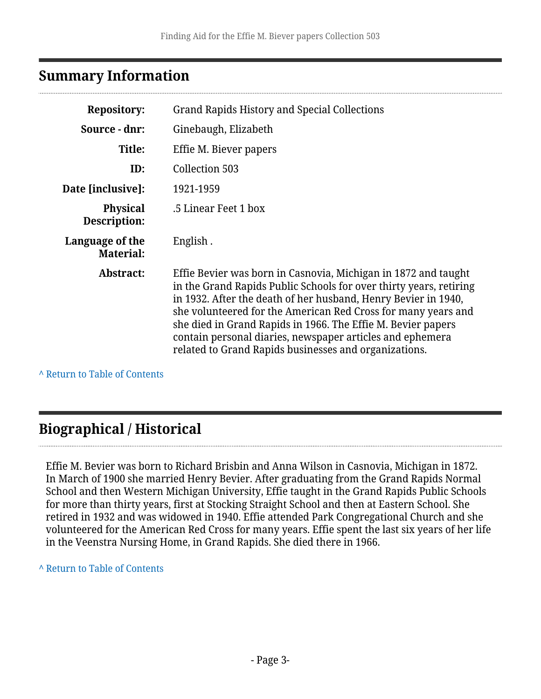#### <span id="page-2-0"></span>**Summary Information**

| <b>Repository:</b>                  | <b>Grand Rapids History and Special Collections</b>                                                                                                                                                                                                                                                                                                                                                                                                           |
|-------------------------------------|---------------------------------------------------------------------------------------------------------------------------------------------------------------------------------------------------------------------------------------------------------------------------------------------------------------------------------------------------------------------------------------------------------------------------------------------------------------|
| Source - dnr:                       | Ginebaugh, Elizabeth                                                                                                                                                                                                                                                                                                                                                                                                                                          |
| Title:                              | Effie M. Biever papers                                                                                                                                                                                                                                                                                                                                                                                                                                        |
| ID:                                 | Collection 503                                                                                                                                                                                                                                                                                                                                                                                                                                                |
| Date [inclusive]:                   | 1921-1959                                                                                                                                                                                                                                                                                                                                                                                                                                                     |
| <b>Physical</b><br>Description:     | .5 Linear Feet 1 box                                                                                                                                                                                                                                                                                                                                                                                                                                          |
| Language of the<br><b>Material:</b> | English.                                                                                                                                                                                                                                                                                                                                                                                                                                                      |
| Abstract:                           | Effie Bevier was born in Casnovia, Michigan in 1872 and taught<br>in the Grand Rapids Public Schools for over thirty years, retiring<br>in 1932. After the death of her husband, Henry Bevier in 1940,<br>she volunteered for the American Red Cross for many years and<br>she died in Grand Rapids in 1966. The Effie M. Bevier papers<br>contain personal diaries, newspaper articles and ephemera<br>related to Grand Rapids businesses and organizations. |

**^** [Return to Table of Contents](#page-1-0)

### <span id="page-2-1"></span>**Biographical / Historical**

Effie M. Bevier was born to Richard Brisbin and Anna Wilson in Casnovia, Michigan in 1872. In March of 1900 she married Henry Bevier. After graduating from the Grand Rapids Normal School and then Western Michigan University, Effie taught in the Grand Rapids Public Schools for more than thirty years, first at Stocking Straight School and then at Eastern School. She retired in 1932 and was widowed in 1940. Effie attended Park Congregational Church and she volunteered for the American Red Cross for many years. Effie spent the last six years of her life in the Veenstra Nursing Home, in Grand Rapids. She died there in 1966.

**^** [Return to Table of Contents](#page-1-0)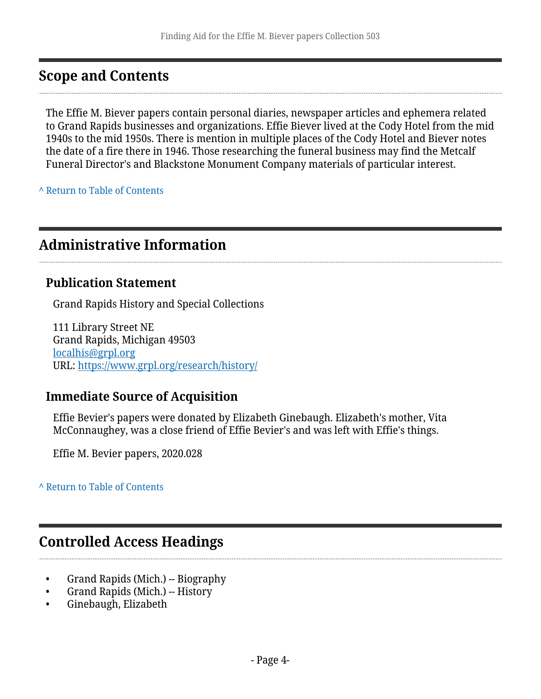#### <span id="page-3-0"></span>**Scope and Contents**

The Effie M. Biever papers contain personal diaries, newspaper articles and ephemera related to Grand Rapids businesses and organizations. Effie Biever lived at the Cody Hotel from the mid 1940s to the mid 1950s. There is mention in multiple places of the Cody Hotel and Biever notes the date of a fire there in 1946. Those researching the funeral business may find the Metcalf Funeral Director's and Blackstone Monument Company materials of particular interest.

**^** [Return to Table of Contents](#page-1-0)

#### <span id="page-3-1"></span>**Administrative Information**

#### **Publication Statement**

Grand Rapids History and Special Collections

111 Library Street NE Grand Rapids, Michigan 49503 [localhis@grpl.org](mailto:localhis@grpl.org) URL:<https://www.grpl.org/research/history/>

#### **Immediate Source of Acquisition**

Effie Bevier's papers were donated by Elizabeth Ginebaugh. Elizabeth's mother, Vita McConnaughey, was a close friend of Effie Bevier's and was left with Effie's things.

Effie M. Bevier papers, 2020.028

**^** [Return to Table of Contents](#page-1-0)

#### <span id="page-3-2"></span>**Controlled Access Headings**

- Grand Rapids (Mich.) -- Biography
- Grand Rapids (Mich.) -- History
- Ginebaugh, Elizabeth